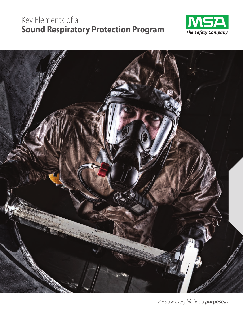# Key Elements of a **Sound Respiratory Protection Program**





*Because every life has a purpose...*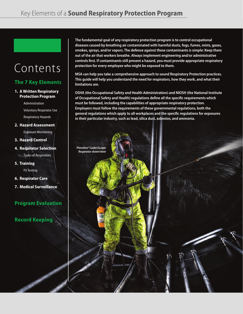*PremAire® Cadet Escape Respirator shown here*

# Contents

# **The 7 Key Elements**

### **1. A Written Respiratory Protection Program**

 Administration Voluntary Respirator Use Respiratory Hazards

**2. Hazard Assessment**

Exposure Monitoring

**3. Hazard Control**

### **4. Respirator Selection** Types of Respirators

**5. Training** Fit Testing

- **6. Respirator Care**
- **7. Medical Surveillance**

# **Program Evaluation**

# **Record Keeping**

**The fundamental goal of any respiratory protection program is to control occupational diseases caused by breathing air contaminated with harmful dusts, fogs, fumes, mists, gases, smokes, sprays, and/or vapors. The defense against these contaminants is simple: Keep them out of the air that workers breathe. Always implement engineering and/or administrative controls first. If contaminants still present a hazard, you must provide appropriate respiratory protection for every employee who might be exposed to them.**

**MSA can help you take a comprehensive approach to sound Respiratory Protection practices. This guide will help you understand the need for respirators, how they work, and what their limitations are.**

**OSHA (the Occupational Safety and Health Administration) and NIOSH (the National Institute of Occupational Safety and Health) regulations define all the specific requirements which must be followed, including the capabilities of appropriate respiratory protection. Employers must follow the requirements of these governmental regulations, both the general regulations which apply to all workplaces and the specific regulations for exposures in their particular industry, such as lead, silica dust, asbestos, and ammonia.**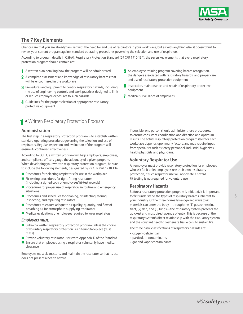

## **The 7 Key Elements**

Chances are that you are already familiar with the need for and use of respirators in your workplace, but as with anything else, it doesn't hurt to review your current program against standard operating procedures governing the selection and use of respirators.

According to program details in OSHA's Respiratory Protection Standard (29 CFR 1910.134), the seven key elements that every respiratory protection program should contain are:

- 1 A written plan detailing how the program will be administered
- 2 A complete assessment and knowledge of respiratory hazards that will be encountered in the workplace
- **3** Procedures and equipment to control respiratory hazards, including the use of engineering controls and work practices designed to limit or reduce employee exposures to such hazards
- 4 Guidelines for the proper selection of appropriate respiratory protective equipment
- 5 An employee training program covering hazard recognition, the dangers associated with respiratory hazards, and proper care and use of respiratory protective equipment
- **6** Inspection, maintenance, and repair of respiratory protective equipment
- 7 Medical surveillance of employees

# 1 A Written Respiratory Protection Program

#### **Administration**

The first step in a respiratory protection program is to establish written standard operating procedures governing the selection and use of respirators. Regular inspection and evaluation of the program will ensure its continued effectiveness.

According to OSHA, a written program will help employers, employees, and compliance officers gauge the adequacy of a given program. When developing your written respiratory protection program, be sure to include the following elements, designated by 29 CFR Part 1910.134:

- $\blacksquare$  Procedures for selecting respirators for use in the workplace
- $\blacksquare$  Fit-testing procedures for tight-fitting respirators (including a signed copy of employees' fit-test records)
- **Procedures for proper use of respirators in routine and emergency** situations
- **Procedures and schedules for cleaning, disinfecting, storing,** inspecting, and repairing respirators
- Procedures to ensure adequate air quality, quantity, and flow of breathing air for atmosphere-supplying respirators
- Medical evaluations of employees required to wear respirators

#### *Employers must:*

- Submit a written respiratory protection program unless the choice of voluntary respiratory protection is a filtering facepiece (dust mask)
- Provide voluntary respirator users with Appendix D of the Standard
- $\blacksquare$  Ensure that employees using a respirator voluntarily have medical clearance

Employees must clean, store, and maintain the respirator so that its use does not present a health hazard.

If possible, one person should administer these procedures, to ensure consistent coordination and direction and optimum results. The actual respiratory protection program itself for each workplace depends upon many factors, and may require input from specialists such as safety personnel, industrial hygienists, health physicists and physicians.

### **Voluntary Respirator Use**

An employer must provide respiratory protection for employees who ask for it or let employees use their own respiratory protection, if such respirator use will not create a hazard. Fit testing is not required for voluntary use.

### **Respiratory Hazards**

Before a respiratory protection program is initiated, it is important to first understand the types of respiratory hazards inherent to your industry. Of the three normally recognized ways toxic materials can enter the body—through the (1) gastrointestinal tract, (2) skin, and (3) lungs—the respiratory system presents the quickest and most direct avenue of entry. This is because of the respiratory system's direct relationship with the circulatory system and the constant need to oxygenate tissue cells to sustain life.

The three basic classifications of respiratory hazards are:

- oxygen-deficient air
- particulate contaminants
- gas and vapor contaminants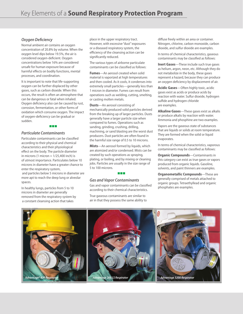#### *Oxygen Deficiency*

Normal ambient air contains an oxygen concentration of 20.8% by volume. When the oxygen level dips below 19.5%, the air is considered oxygen-deficient. Oxygen concentrations below 16% are considered unsafe for human exposure because of harmful effects on bodily functions, mental processes, and coordination.

It is important to note that life-supporting oxygen can be further displaced by other gases, such as carbon dioxide. When this occurs, the result is often an atmosphere that can be dangerous or fatal when inhaled. Oxygen deficiency also can be caused by rust, corrosion, fermentation, or other forms of oxidation which consume oxygen. The impact of oxygen-deficiency can be gradual or sudden.

#### a pr

#### *Particulate Contaminants*

Particulate contaminants can be classified according to their physical and chemical characteristics and their physiological effect on the body. The particle diameter in microns (1 micron  $= 1/25,400$  inch) is of utmost importance. Particulates below 10 microns in diameter have a greater chance to enter the respiratory system, and particles below 5 microns in diameter are more apt to reach the deep lung or alveolar spaces.

In healthy lungs, particles from 5 to 10 microns in diameter are generally removed from the respiratory system by a constant cleansing action that takes

place in the upper respiratory tract. However, with excessive "dust" exposures or a diseased respiratory system, the efficiency of the cleansing action can be significantly reduced.

The various types of airborne particulate contaminants can be classified as follows:

**Fumes**—An aerosol created when solid material is vaporized at high temperatures and then cooled. As it cools, it condenses into extremely small particles—generally less than 1 micron in diameter. Fumes can result from operations such as welding, cutting, smelting, or casting molten metals.

**Dusts**—An aerosol consisting of mechanically produced solid particles derived from the breaking up of larger particles. Dusts generally have a larger particle size when compared to fumes. Operations such as sanding, grinding, crushing, drilling, machining, or sand blasting are the worst dust producers. Dust particles are often found in the harmful size range of 0.5 to 10 microns.

**Mists**—An aerosol formed by liquids, which are atomized and/or condensed. Mists can be created by such operations as spraying, plating, or boiling, and by mixing or cleaning jobs. Particles are usually in the size range of 5 to 100 microns.

#### a pro

#### *Gas and Vapor Contaminants*

Gas and vapor contaminants can be classified according to their chemical characteristics.

True gaseous contaminants are similar to air in that they possess the same ability to diffuse freely within an area or container. Nitrogen, chlorine, carbon monoxide, carbon dioxide, and sulfur dioxide are examples.

In terms of chemical characteristics, gaseous contaminants may be classified as follows:

**Inert Gases**—These include such true gases as helium, argon, neon, etc. Although they do not metabolize in the body, these gases represent a hazard, because they can produce an oxygen deficiency by displacement of air.

**Acidic Gases**—Often highly toxic, acidic gases exist as acids or produce acids by reaction with water. Sulfur dioxide, hydrogen sulfide and hydrogen chloride are examples.

**Alkaline Gases**—These gases exist as alkalis or produce alkalis by reaction with water. Ammonia and phosphine are two examples.

Vapors are the gaseous state of substances that are liquids or solids at room temperature. They are formed when the solid or liquid evaporates.

In terms of chemical characteristics, vaporous contaminants may be classified as follows:

**Organic Compounds**—Contaminants in this category can exist as true gases or vapors produced from organic liquids. Gasoline, solvents, and paint thinners are examples.

**Organometallic Compounds**—These are generally comprised of metals attached to organic groups. Tetraethyllead and organic phosphates are examples.

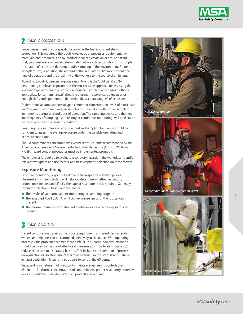

# **A** Hazard Assessment

Proper assessment of your specific hazard(s) is the first important step to protection. This requires a thorough knowledge of processes, equipment, raw materials, end-products, and by-products that can create an exposure hazard. First, you must make an initial determination of workplace conditions. This simple calculation of exposures does not require sampling of the environment. Factor in workplace size, ventilation, the amount of the regulated substance present, the type of operation, and the proximity of the workers to the source of emissions.

According to OSHA, personal exposure monitoring is the "gold standard" for determining employee exposure. It is the most reliable approach for assessing the level and type of respiratory protection required. Sampling which uses methods appropriate for contaminants(s) should represent the worst-case exposures or enough shifts and operations to determine the accurate range(s) of exposure.

To determine an atmosphere's oxygen content or concentration levels of particulate and/or gaseous contaminants, air samples must be taken with proper sampling instruments during all conditions of operation. The sampling device and the type and frequency of sampling (spot testing or continuous monitoring) will be dictated by the exposure and operating conditions.

Breathing zone samples are recommended and sampling frequency should be sufficient to assess the average exposure under the variable operating and exposure conditions.

Should contaminant concentrations exceed exposure limits recommended by the American Conference of Governmental Industrial Hygienists (ACGIH), OSHA, or NIOSH, hazard control procedures must be implemented promptly.

The employer is required to evaluate respiratory hazards in the workplace, identify relevant workplace and use factors, and base respirator selection on these factors.

### **Exposure Monitoring**

Exposure monitoring plays a critical role in the respirator selection process. The results from such testing will help you determine whether respiratory protection is needed and, if it is, the type of respirator that is required. Generally, respirator selection is based on three factors:

- $\blacksquare$  The results of your atmospheric monitoring or sampling program
- The accepted ACGIH, OSHA, or NIOSH exposure limits for the substance(s) present
- The maximum use concentration (of a substance) for which a respirator can be used

# Hazard Control 3

Hazard control should start at the process, equipment, and plant design levels where contaminants can be controlled effectively at the outset. With operating processes, the problem becomes more difficult. In all cases, however, attention should be given to the use of effective engineering controls to eliminate and/or reduce exposures to respiratory hazards. This includes consideration of process encapsulation or isolation; use of less toxic materials in the process' and suitable exhaust ventilation, filters, and scrubbers to control the effluents.

Because it is sometimes not practical to maintain engineering controls that eliminate all airborne concentrations of contaminants, proper respiratory protective devices should be used whenever such protection is required.







5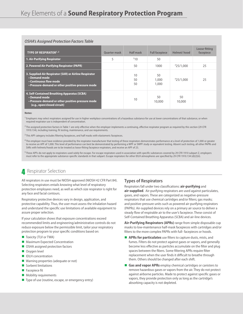| <b>OSHA's Assigned Protection Factors Table</b>                                                                                                        |                     |                |                       |              |                            |
|--------------------------------------------------------------------------------------------------------------------------------------------------------|---------------------|----------------|-----------------------|--------------|----------------------------|
| <b>TYPE OF RESPIRATOR1,2</b>                                                                                                                           | <b>Ouarter mask</b> | Half mask      | <b>Full facepiece</b> | Helmet/hood  | Loose-fitting<br>facepiece |
| 1. Air-Purifying Respirator                                                                                                                            | 5                   | 310            | 50                    |              |                            |
| 2. Powered Air-Purifying Respirator (PAPR)                                                                                                             |                     | 50             | 1000                  | 425/1,000    | 25                         |
| 3. Supplied-Air Respirator (SAR) or Airline Respirator<br>• Demand mode<br>• Continuous flow mode<br>• Pressure-demand or other positive-pressure mode |                     | 10<br>50<br>50 | 50<br>1,000<br>1,000  | 425/1.000    | 25                         |
| 4. Self-Contained Breathing Apparatus (SCBA)<br>• Demand mode<br>. Pressure-demand or other positive-pressure mode<br>(e.g., open/closed circuit)      |                     | 10             | 50<br>10,000          | 50<br>10,000 |                            |

**Notes:**

<sup>1</sup> Employers may select respirators assigned for use in higher workplace concentrations of a hazardous substance for use at lower concentrations of that substance, or when required respirator use is independent of concentration.

<sup>2</sup> The assigned protection factors in Table 1 are only effective when the employer implements a continuing, effective respirator program as required by this section (29 CFR 1910.134), including training, fit testing, maintenance, and use requirements.

<sup>3</sup> This APF category includes filtering facepieces, and half masks with elastomeric facepieces.

4 The employer must have evidence provided by the respirator manufacturer that testing of these respirators demonstrates performance at a level of protection of 1,000 or greater to receive an APF of 1,000. This level of performance can best be demonstrated by performing a WPF or SWPF study or equivalent testing. Absent such testing, all other PAPRs and SARs with helmets/hoods are to be treated as loose-fitting facepiece respirators, and receive an APF of 25.

<sup>5</sup> These APFs do not apply to respirators used solely for escape. For escape respirators used in association with specific substances covered by 29 CFR 1910 subpart Z, employers must refer to the appropriate substance-specific standards in that subpart. Escape respirators for other IDLH atmospheres are specified by 29 CFR 1910.134 (d)(2)(ii).

## **A** Respirator Selection

All respirators in use must be NIOSH-approved (NIOSH 42 CFR Part 84). Selecting respirators entails knowing what level of respiratory protection employees need, as well as which size respirator is right for any face and facial contours.

Respiratory protective devices vary in design, application, and protective capability. Thus, the user must assess the inhalation hazard and understand the specific use limitations of available equipment to assure proper selection.

If your calculation shows that exposure concentrations exceed recommended limits and engineering/administrative controls do not reduce exposure below the permissible limit, tailor your respiratory protection program to your specific conditions based on:

- Toxicity (TLV or TWA)
- **Maximum Expected Concentration**
- OSHA assigned protection factors
- **Oxygen level**
- **IDLH** concentration
- **Naming properties (adequate or not)**
- Sorbent limitations
- **Facepiece fit**
- **Mobility requirements**
- Type of use (routine, escape, or emergency entry)

### **Types of Respirators**

Respirators fall under two classifications: **air-purifying** and **air-supplied**. Air-purifying respirators are used against particulates, gases, and vapors. These are categorized as negative-pressure respirators that use chemical cartridges and/or filters; gas masks; and positive-pressure units such as powered air-purifying respirators (PAPRs). Air-supplied devices rely on a primary air source to deliver a steady flow of respirable air to the user's facepiece. These consist of Self-Contained Breathing Apparatus (SCBA) and air-line devices.

**Air-Purifying Respirators (APRs)** range from simple disposable cup masks to low-maintenance half-mask facepieces with cartridges and/or filters to the more complex PAPRs with full- facepieces or hoods.

- **APRs for particulates** use filters to capture dusts, mists, and fumes. Filters do not protect against gases or vapors, and generally become less effective as particles accumulate on the filter and plug spaces between the fibers. Some filtering APRs require filter replacement when the user finds it difficult to breathe through them. Others should be changed after each shift.
- **Gas and vapor APRs** employ chemical cartridges or canisters to remove hazardous gases or vapors from the air. They do not protect against airborne particles. Made to protect against specific gases or vapors, they provide protection only as long as the cartridge's absorbing capacity is not depleted.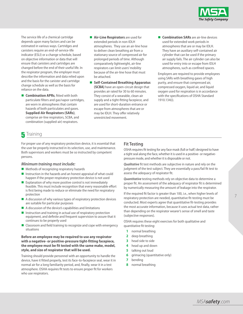

The service life of a chemical cartridge depends upon many factors and can be estimated in various ways. Cartridges and canisters require an end-of-service-life indicator (ESLI) or a change schedule, based on objective information or data that will ensure that canisters and cartridges are changed before the end of their useful life. In the respirator program, the employer must describe the information and data relied upon and the basis for the canister and cartridge change schedule as well as the basis for reliance on the data.

- **E** Combination APRs, fitted with both particulate filters and gas/vapor cartridges, are worn in atmospheres that contain hazards of both particulates and gases. **Supplied-Air Respirators (SARs)**, comprise air-line respirators, SCBA, and combination (supplied-air) respirators.
- **Air-Line Respirators** are used for extended periods in non-IDLH atmospheres. They use an air-line hose to deliver clean breathing air from a stationary source of compressed air for prolonged periods of time. Although comparatively lightweight, air-line respirators can limit users' mobility because of the air-line hose that must be attached.
- Self-Contained Breathing Apparatus **(SCBA)** have an open-circuit design that provides air rated for 30 to 60 minutes. They consist of a wearable, clean-air supply and a tight-fitting facepiece, and are used for short-duration entrance or escape from atmospheres that are or may be IDLH. They offer relatively unrestricted movement.
- **E** Combination SARs are air-line devices used for extended work periods in atmospheres that are or may be IDLH. They have an auxiliary self-contained air cylinder that can be used if the primary air supply fails. The air cylinder can also be used for entry into or escape from IDLH atmospheres, such as confined spaces.

Employers are required to provide employees using SARs with breathing gases of high purity, and ensure that compressed air, compressed oxygen, liquid air, and liquid oxygen used for respiration is in accordance with the specifications of OSHA Standard 1910.134(i).

# $\overline{\mathbf{5}}$  Training

For proper use of any respiratory protection device, it is essential that the user be properly instructed in its selection, use, and maintenance. Both supervisors and workers must be so instructed by competent persons.

#### *Minimum training must include:*

- **Methods of recognizing respiratory hazards**
- Instruction in the hazards and an honest appraisal of what could happen if the proper respiratory protection device is not used
- Explanation of why more positive control is not immediately feasible. This must include recognition that every reasonable effort is first being made to reduce or eliminate the need for respiratory protection
- A discussion of why various types of respiratory protection devices are suitable for particular purposes
- $\blacksquare$  A discussion of the device's capabilities and limitations
- $\blacksquare$  Instruction and training in actual use of respiratory protection equipment, and definite and frequent supervision to assure that it continues to be properly used
- Classroom and field training to recognize and cope with emergency situations

#### **Before an employee may be required to use any respirator with a negative- or positive-pressure tight-fitting facepiece, the employee must be fit tested with the same make, model, style, and size of respirator that will be used.**

Training should provide personnel with an opportunity to handle the device, have it fitted properly, test its face-to-facepiece seal, wear it in normal air for a long familiarity period, and, finally, wear it in a test atmosphere. OSHA requires fit tests to ensure proper fit for workers who use respirators.

### **Fit Testing**

OSHA requires fit testing for any face mask (full or half) designed to have a tight seal along the face, whether it is used in a positive- or negativepressure mode, and whether it is disposable or not.

*Qualitative* fit test methods are subjective in nature and rely on the judgment of the test subject. They are essentially a pass/fail fit test to assess the adequacy of respirator fit.

*Quantitative* testing methods rely on objective data to determine a proper fit. An assessment of the adequacy of respirator fit is determined by numerically measuring the amount of leakage into the respirator.

If the required fit factor is greater than 100, i.e., when higher levels of respiratory protection are needed, quantitative fit-testing must be conducted. Most experts agree that quantitative fit-testing provides the most accurate information, because it uses actual test data, rather than depending on the respirator wearer's sense of smell and taste (subjective responses).

OSHA requires these eight exercises for both qualitative and quantitative fit testing:

- **1** normal breathing
- **2** deep breathing
- **3** head side to side
- **4** head up and down
- **5** talking out loud
- **6** grimacing (quantitative only)
- **7** bending
- **8** normal breathing